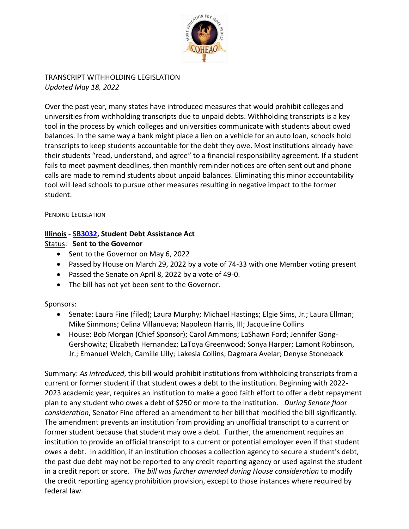

TRANSCRIPT WITHHOLDING LEGISLATION *Updated May 18, 2022*

Over the past year, many states have introduced measures that would prohibit colleges and universities from withholding transcripts due to unpaid debts. Withholding transcripts is a key tool in the process by which colleges and universities communicate with students about owed balances. In the same way a bank might place a lien on a vehicle for an auto loan, schools hold transcripts to keep students accountable for the debt they owe. Most institutions already have their students "read, understand, and agree" to a financial responsibility agreement. If a student fails to meet payment deadlines, then monthly reminder notices are often sent out and phone calls are made to remind students about unpaid balances. Eliminating this minor accountability tool will lead schools to pursue other measures resulting in negative impact to the former student.

#### PENDING LEGISLATION

### **Illinois - [SB3032,](https://www.ilga.gov/legislation/BillStatus.asp?DocNum=3032&GAID=16&DocTypeID=SB&LegId=137564&SessionID=110&GA=102) Student Debt Assistance Act**

#### Status: **Sent to the Governor**

- Sent to the Governor on May 6, 2022
- Passed by House on March 29, 2022 by a vote of 74-33 with one Member voting present
- Passed the Senate on April 8, 2022 by a vote of 49-0.
- The bill has not yet been sent to the Governor.

### Sponsors:

- Senate: Laura Fine (filed); Laura Murphy; Michael Hastings; Elgie Sims, Jr.; Laura Ellman; Mike Simmons; Celina Villanueva; Napoleon Harris, III; Jacqueline Collins
- House: Bob Morgan (Chief Sponsor); Carol Ammons; LaShawn Ford; Jennifer Gong-Gershowitz; Elizabeth Hernandez; LaToya Greenwood; Sonya Harper; Lamont Robinson, Jr.; Emanuel Welch; Camille Lilly; Lakesia Collins; Dagmara Avelar; Denyse Stoneback

Summary: *As introduced*, this bill would prohibit institutions from withholding transcripts from a current or former student if that student owes a debt to the institution. Beginning with 2022- 2023 academic year, requires an institution to make a good faith effort to offer a debt repayment plan to any student who owes a debt of \$250 or more to the institution. *During Senate floor consideration*, Senator Fine offered an amendment to her bill that modified the bill significantly. The amendment prevents an institution from providing an unofficial transcript to a current or former student because that student may owe a debt. Further, the amendment requires an institution to provide an official transcript to a current or potential employer even if that student owes a debt. In addition, if an institution chooses a collection agency to secure a student's debt, the past due debt may not be reported to any credit reporting agency or used against the student in a credit report or score. *The bill was further amended during House consideration* to modify the credit reporting agency prohibition provision, except to those instances where required by federal law.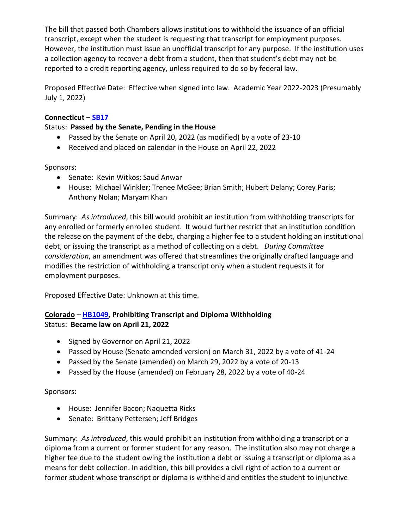The bill that passed both Chambers allows institutions to withhold the issuance of an official transcript, except when the student is requesting that transcript for employment purposes. However, the institution must issue an unofficial transcript for any purpose. If the institution uses a collection agency to recover a debt from a student, then that student's debt may not be reported to a credit reporting agency, unless required to do so by federal law.

Proposed Effective Date: Effective when signed into law. Academic Year 2022-2023 (Presumably July 1, 2022)

# **Connecticut – [SB17](https://www.cga.ct.gov/asp/cgabillstatus/cgabillstatus.asp?selBillType=Bill&bill_num=SB00017&which_year=2022)**

### Status: **Passed by the Senate, Pending in the House**

- Passed by the Senate on April 20, 2022 (as modified) by a vote of 23-10
- Received and placed on calendar in the House on April 22, 2022

Sponsors:

- Senate: Kevin Witkos; Saud Anwar
- House: Michael Winkler; Trenee McGee; Brian Smith; Hubert Delany; Corey Paris; Anthony Nolan; Maryam Khan

Summary: *As introduced*, this bill would prohibit an institution from withholding transcripts for any enrolled or formerly enrolled student. It would further restrict that an institution condition the release on the payment of the debt, charging a higher fee to a student holding an institutional debt, or issuing the transcript as a method of collecting on a debt. *During Committee consideration*, an amendment was offered that streamlines the originally drafted language and modifies the restriction of withholding a transcript only when a student requests it for employment purposes.

Proposed Effective Date: Unknown at this time.

# **Colorado – [HB1049,](https://leg.colorado.gov/bills/hb22-1049) Prohibiting Transcript and Diploma Withholding** Status: **Became law on April 21, 2022**

- Signed by Governor on April 21, 2022
- Passed by House (Senate amended version) on March 31, 2022 by a vote of 41-24
- Passed by the Senate (amended) on March 29, 2022 by a vote of 20-13
- Passed by the House (amended) on February 28, 2022 by a vote of 40-24

### Sponsors:

- House: Jennifer Bacon; Naquetta Ricks
- Senate: Brittany Pettersen; Jeff Bridges

Summary: *As introduced*, this would prohibit an institution from withholding a transcript or a diploma from a current or former student for any reason. The institution also may not charge a higher fee due to the student owing the institution a debt or issuing a transcript or diploma as a means for debt collection. In addition, this bill provides a civil right of action to a current or former student whose transcript or diploma is withheld and entitles the student to injunctive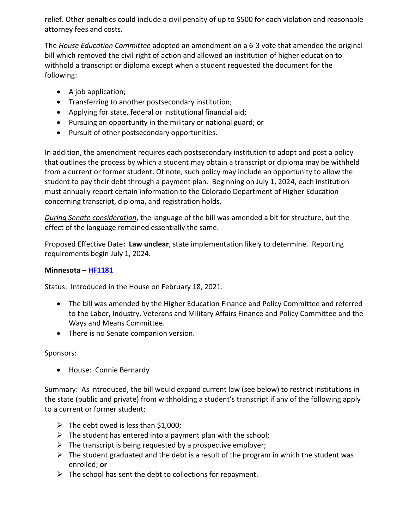relief. Other penalties could include a civil penalty of up to \$500 for each violation and reasonable attorney fees and costs.

The *House Education Committee* adopted an amendment on a 6-3 vote that amended the original bill which removed the civil right of action and allowed an institution of higher education to withhold a transcript or diploma except when a student requested the document for the following:

- A job application;
- Transferring to another postsecondary institution;
- Applying for state, federal or institutional financial aid;
- Pursuing an opportunity in the military or national guard; or
- Pursuit of other postsecondary opportunities.

In addition, the amendment requires each postsecondary institution to adopt and post a policy that outlines the process by which a student may obtain a transcript or diploma may be withheld from a current or former student. Of note, such policy may include an opportunity to allow the student to pay their debt through a payment plan. Beginning on July 1, 2024, each institution must annually report certain information to the Colorado Department of Higher Education concerning transcript, diploma, and registration holds.

*During Senate consideration*, the language of the bill was amended a bit for structure, but the effect of the language remained essentially the same.

Proposed Effective Date**: Law unclear**, state implementation likely to determine. Reporting requirements begin July 1, 2024.

### **Minnesota – [HF1181](https://www.house.leg.state.mn.us/bills/Info/hf1181)**

Status: Introduced in the House on February 18, 2021.

- The bill was amended by the Higher Education Finance and Policy Committee and referred to the Labor, Industry, Veterans and Military Affairs Finance and Policy Committee and the Ways and Means Committee.
- There is no Senate companion version.

### Sponsors:

House: Connie Bernardy

Summary: As introduced, the bill would expand current law (see below) to restrict institutions in the state (public and private) from withholding a student's transcript if any of the following apply to a current or former student:

- $\triangleright$  The debt owed is less than \$1,000;
- $\triangleright$  The student has entered into a payment plan with the school;
- $\triangleright$  The transcript is being requested by a prospective employer;
- $\triangleright$  The student graduated and the debt is a result of the program in which the student was enrolled; **or**
- $\triangleright$  The school has sent the debt to collections for repayment.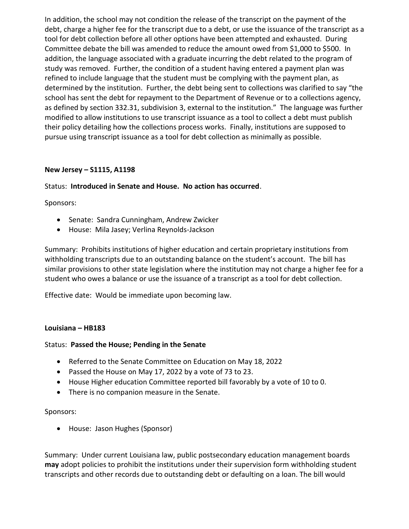In addition, the school may not condition the release of the transcript on the payment of the debt, charge a higher fee for the transcript due to a debt, or use the issuance of the transcript as a tool for debt collection before all other options have been attempted and exhausted. During Committee debate the bill was amended to reduce the amount owed from \$1,000 to \$500. In addition, the language associated with a graduate incurring the debt related to the program of study was removed. Further, the condition of a student having entered a payment plan was refined to include language that the student must be complying with the payment plan, as determined by the institution. Further, the debt being sent to collections was clarified to say "the school has sent the debt for repayment to the Department of Revenue or to a collections agency, as defined by section 332.31, subdivision 3, external to the institution." The language was further modified to allow institutions to use transcript issuance as a tool to collect a debt must publish their policy detailing how the collections process works. Finally, institutions are supposed to pursue using transcript issuance as a tool for debt collection as minimally as possible.

#### **New Jersey – [S1115,](https://www.njleg.state.nj.us/bill-search/2022/S1115) [A1198](https://www.njleg.state.nj.us/bill-search/2022/A1198)**

### Status: **Introduced in Senate and House. No action has occurred**.

Sponsors:

- Senate: Sandra Cunningham, Andrew Zwicker
- House: Mila Jasey; Verlina Reynolds-Jackson

Summary: Prohibits institutions of higher education and certain proprietary institutions from withholding transcripts due to an outstanding balance on the student's account. The bill has similar provisions to other state legislation where the institution may not charge a higher fee for a student who owes a balance or use the issuance of a transcript as a tool for debt collection.

Effective date: Would be immediate upon becoming law.

#### **Louisiana – [HB183](https://legis.la.gov/legis/BillInfo.aspx?i=241752)**

### Status: **Passed the House; Pending in the Senate**

- Referred to the Senate Committee on Education on May 18, 2022
- Passed the House on May 17, 2022 by a vote of 73 to 23.
- House Higher education Committee reported bill favorably by a vote of 10 to 0.
- There is no companion measure in the Senate.

#### Sponsors:

• House: Jason Hughes (Sponsor)

Summary: Under current Louisiana law, public postsecondary education management boards **may** adopt policies to prohibit the institutions under their supervision form withholding student transcripts and other records due to outstanding debt or defaulting on a loan. The bill would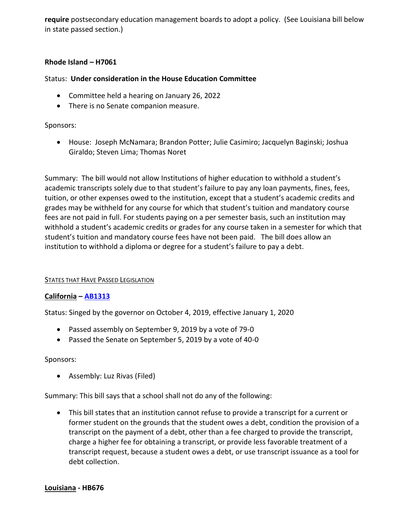**require** postsecondary education management boards to adopt a policy. (See Louisiana bill below in state passed section.)

#### **Rhode Island – [H7061](https://webserver.rilegislature.gov/BillText22/HouseText22/H7061.pdf)**

#### Status: **Under consideration in the House Education Committee**

- Committee held a hearing on January 26, 2022
- There is no Senate companion measure.

#### Sponsors:

 House: Joseph McNamara; Brandon Potter; Julie Casimiro; Jacquelyn Baginski; Joshua Giraldo; Steven Lima; Thomas Noret

Summary: The bill would not allow Institutions of higher education to withhold a student's academic transcripts solely due to that student's failure to pay any loan payments, fines, fees, tuition, or other expenses owed to the institution, except that a student's academic credits and grades may be withheld for any course for which that student's tuition and mandatory course fees are not paid in full. For students paying on a per semester basis, such an institution may withhold a student's academic credits or grades for any course taken in a semester for which that student's tuition and mandatory course fees have not been paid. The bill does allow an institution to withhold a diploma or degree for a student's failure to pay a debt.

#### STATES THAT HAVE PASSED LEGISLATION

### **California – [AB1313](https://leginfo.legislature.ca.gov/faces/billTextClient.xhtml?bill_id=201920200AB1313)**

Status: Singed by the governor on October 4, 2019, effective January 1, 2020

- Passed assembly on September 9, 2019 by a vote of 79-0
- Passed the Senate on September 5, 2019 by a vote of 40-0

#### Sponsors:

Assembly: Luz Rivas (Filed)

Summary: This bill says that a school shall not do any of the following:

 This bill states that an institution cannot refuse to provide a transcript for a current or former student on the grounds that the student owes a debt, condition the provision of a transcript on the payment of a debt, other than a fee charged to provide the transcript, charge a higher fee for obtaining a transcript, or provide less favorable treatment of a transcript request, because a student owes a debt, or use transcript issuance as a tool for debt collection.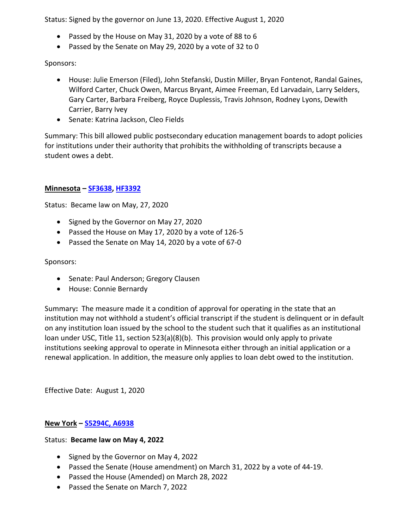Status: Signed by the governor on June 13, 2020. Effective August 1, 2020

- Passed by the House on May 31, 2020 by a vote of 88 to 6
- Passed by the Senate on May 29, 2020 by a vote of 32 to 0

Sponsors:

- House: Julie Emerson (Filed), John Stefanski, Dustin Miller, Bryan Fontenot, Randal Gaines, Wilford Carter, Chuck Owen, Marcus Bryant, Aimee Freeman, Ed Larvadain, Larry Selders, Gary Carter, Barbara Freiberg, Royce Duplessis, Travis Johnson, Rodney Lyons, Dewith Carrier, Barry Ivey
- Senate: Katrina Jackson, Cleo Fields

Summary: This bill allowed public postsecondary education management boards to adopt policies for institutions under their authority that prohibits the withholding of transcripts because a student owes a debt.

## **Minnesota – [SF3638,](https://www.revisor.mn.gov/bills/bill.php?b=House&f=SF3683&ssn=0&y=2020) [HF3392](https://www.revisor.mn.gov/bills/bill.php?f=HF3392&y=2020&ssn=0&b=house)**

Status: Became law on May, 27, 2020

- Signed by the Governor on May 27, 2020
- Passed the House on May 17, 2020 by a vote of 126-5
- Passed the Senate on May 14, 2020 by a vote of 67-0

### Sponsors:

- Senate: Paul Anderson; Gregory Clausen
- House: Connie Bernardy

Summary**:** The measure made it a condition of approval for operating in the state that an institution may not withhold a student's official transcript if the student is delinquent or in default on any institution loan issued by the school to the student such that it qualifies as an institutional loan under USC, Title 11, section 523(a)(8)(b). This provision would only apply to private institutions seeking approval to operate in Minnesota either through an initial application or a renewal application. In addition, the measure only applies to loan debt owed to the institution.

Effective Date: August 1, 2020

### **New York – [S5294C,](https://www.nysenate.gov/legislation/bills/2021/S5924) [A6938](https://www.nysenate.gov/legislation/bills/2021/a6938)**

### Status: **Became law on May 4, 2022**

- Signed by the Governor on May 4, 2022
- Passed the Senate (House amendment) on March 31, 2022 by a vote of 44-19.
- Passed the House (Amended) on March 28, 2022
- Passed the Senate on March 7, 2022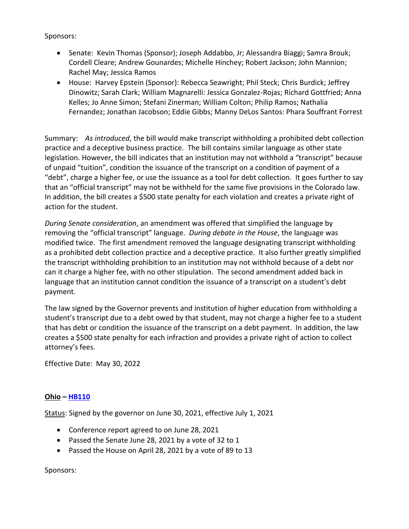Sponsors:

- Senate: Kevin Thomas (Sponsor); Joseph Addabbo, Jr; Alessandra Biaggi; Samra Brouk; Cordell Cleare; Andrew Gounardes; Michelle Hinchey; Robert Jackson; John Mannion; Rachel May; Jessica Ramos
- House: Harvey Epstein (Sponsor): Rebecca Seawright; Phil Steck; Chris Burdick; Jeffrey Dinowitz; Sarah Clark; William Magnarelli: Jessica Gonzalez-Rojas; Richard Gottfried; Anna Kelles; Jo Anne Simon; Stefani Zinerman; William Colton; Philip Ramos; Nathalia Fernandez; Jonathan Jacobson; Eddie Gibbs; Manny DeLos Santos: Phara Souffrant Forrest

Summary: *As introduced*, the bill would make transcript withholding a prohibited debt collection practice and a deceptive business practice. The bill contains similar language as other state legislation. However, the bill indicates that an institution may not withhold a "transcript" because of unpaid "tuition", condition the issuance of the transcript on a condition of payment of a "debt", charge a higher fee, or use the issuance as a tool for debt collection. It goes further to say that an "official transcript" may not be withheld for the same five provisions in the Colorado law. In addition, the bill creates a \$500 state penalty for each violation and creates a private right of action for the student.

*During Senate consideration*, an amendment was offered that simplified the language by removing the "official transcript" language. *During debate in the House*, the language was modified twice. The first amendment removed the language designating transcript withholding as a prohibited debt collection practice and a deceptive practice. It also further greatly simplified the transcript withholding prohibition to an institution may not withhold because of a debt nor can it charge a higher fee, with no other stipulation. The second amendment added back in language that an institution cannot condition the issuance of a transcript on a student's debt payment.

The law signed by the Governor prevents and institution of higher education from withholding a student's transcript due to a debt owed by that student, may not charge a higher fee to a student that has debt or condition the issuance of the transcript on a debt payment. In addition, the law creates a \$500 state penalty for each infraction and provides a private right of action to collect attorney's fees.

Effective Date: May 30, 2022

### **Ohio – [HB110](https://www.legislature.ohio.gov/legislation/legislation-summary?id=GA134-HB-110)**

Status: Signed by the governor on June 30, 2021, effective July 1, 2021

- Conference report agreed to on June 28, 2021
- Passed the Senate June 28, 2021 by a vote of 32 to 1
- Passed the House on April 28, 2021 by a vote of 89 to 13

### Sponsors: